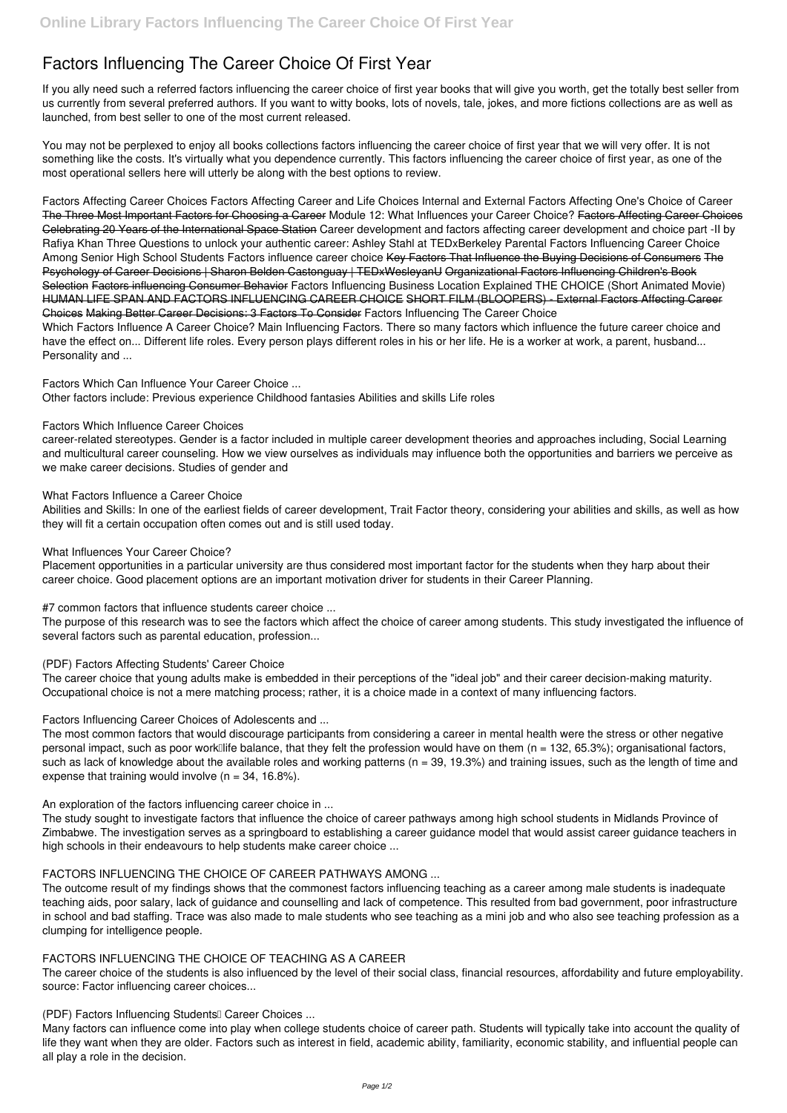# **Factors Influencing The Career Choice Of First Year**

If you ally need such a referred **factors influencing the career choice of first year** books that will give you worth, get the totally best seller from us currently from several preferred authors. If you want to witty books, lots of novels, tale, jokes, and more fictions collections are as well as launched, from best seller to one of the most current released.

You may not be perplexed to enjoy all books collections factors influencing the career choice of first year that we will very offer. It is not something like the costs. It's virtually what you dependence currently. This factors influencing the career choice of first year, as one of the most operational sellers here will utterly be along with the best options to review.

**Factors Affecting Career Choices** *Factors Affecting Career and Life Choices Internal and External Factors Affecting One's Choice of Career* The Three Most Important Factors for Choosing a Career *Module 12: What Influences your Career Choice?* Factors Affecting Career Choices Celebrating 20 Years of the International Space Station *Career development and factors affecting career development and choice part -II by Rafiya Khan Three Questions to unlock your authentic career: Ashley Stahl at TEDxBerkeley* Parental Factors Influencing Career Choice Among Senior High School Students Factors influence career choice Key Factors That Influence the Buying Decisions of Consumers The Psychology of Career Decisions | Sharon Belden Castonguay | TEDxWesleyanU Organizational Factors Influencing Children's Book Selection Factors influencing Consumer Behavior Factors Influencing Business Location Explained THE CHOICE (Short Animated Movie) HUMAN LIFE SPAN AND FACTORS INFLUENCING CAREER CHOICE SHORT FILM (BLOOPERS) - External Factors Affecting Career Choices Making Better Career Decisions: 3 Factors To Consider *Factors Influencing The Career Choice* Which Factors Influence A Career Choice? Main Influencing Factors. There so many factors which influence the future career choice and have the effect on... Different life roles. Every person plays different roles in his or her life. He is a worker at work, a parent, husband... Personality and ...

The most common factors that would discourage participants from considering a career in mental health were the stress or other negative personal impact, such as poor work<sup>[1]</sup> difference, that they felt the profession would have on them (n = 132, 65.3%); organisational factors, such as lack of knowledge about the available roles and working patterns ( $n = 39, 19.3%$ ) and training issues, such as the length of time and expense that training would involve  $(n = 34, 16.8\%)$ .

*Factors Which Can Influence Your Career Choice ...*

Other factors include: Previous experience Childhood fantasies Abilities and skills Life roles

## *Factors Which Influence Career Choices*

career-related stereotypes. Gender is a factor included in multiple career development theories and approaches including, Social Learning and multicultural career counseling. How we view ourselves as individuals may influence both the opportunities and barriers we perceive as we make career decisions. Studies of gender and

## *What Factors Influence a Career Choice*

Abilities and Skills: In one of the earliest fields of career development, Trait Factor theory, considering your abilities and skills, as well as how they will fit a certain occupation often comes out and is still used today.

## *What Influences Your Career Choice?*

Placement opportunities in a particular university are thus considered most important factor for the students when they harp about their career choice. Good placement options are an important motivation driver for students in their Career Planning.

*#7 common factors that influence students career choice ...*

The purpose of this research was to see the factors which affect the choice of career among students. This study investigated the influence of several factors such as parental education, profession...

## *(PDF) Factors Affecting Students' Career Choice*

The career choice that young adults make is embedded in their perceptions of the "ideal job" and their career decision-making maturity. Occupational choice is not a mere matching process; rather, it is a choice made in a context of many influencing factors.

*Factors Influencing Career Choices of Adolescents and ...*

*An exploration of the factors influencing career choice in ...*

The study sought to investigate factors that influence the choice of career pathways among high school students in Midlands Province of Zimbabwe. The investigation serves as a springboard to establishing a career guidance model that would assist career guidance teachers in

high schools in their endeavours to help students make career choice ...

### *FACTORS INFLUENCING THE CHOICE OF CAREER PATHWAYS AMONG ...*

The outcome result of my findings shows that the commonest factors influencing teaching as a career among male students is inadequate teaching aids, poor salary, lack of guidance and counselling and lack of competence. This resulted from bad government, poor infrastructure in school and bad staffing. Trace was also made to male students who see teaching as a mini job and who also see teaching profession as a clumping for intelligence people.

### *FACTORS INFLUENCING THE CHOICE OF TEACHING AS A CAREER*

The career choice of the students is also influenced by the level of their social class, financial resources, affordability and future employability. source: Factor influencing career choices...

#### *(PDF) Factors Influencing Students' Career Choices ...*

Many factors can influence come into play when college students choice of career path. Students will typically take into account the quality of life they want when they are older. Factors such as interest in field, academic ability, familiarity, economic stability, and influential people can all play a role in the decision.